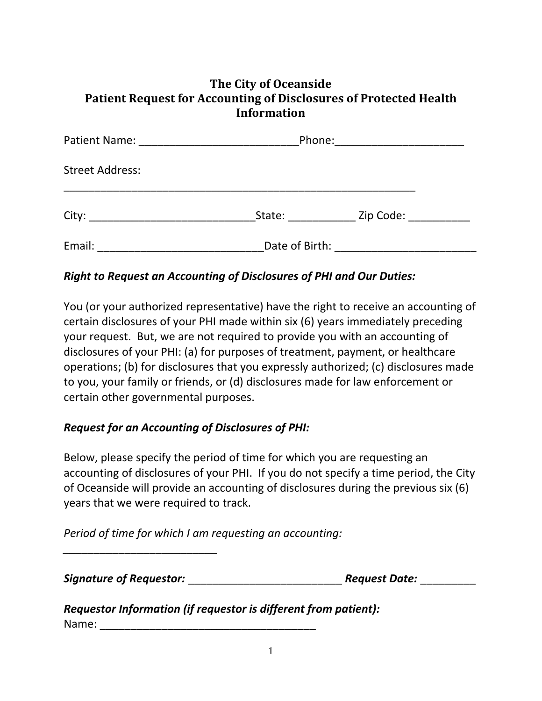## **The City of Oceanside Patient Request for Accounting of Disclosures of Protected Health Information**

|                        | Phone: 2008 2010 2021 2022 2022 2023 2024 2022 2022 2023 2024 2022 2023 2024 2022 2023 2024 2022 2023 2024 20 |  |
|------------------------|---------------------------------------------------------------------------------------------------------------|--|
| <b>Street Address:</b> |                                                                                                               |  |
|                        | State: Zip Code:                                                                                              |  |
| Email:                 |                                                                                                               |  |

## *Right to Request an Accounting of Disclosures of PHI and Our Duties:*

You (or your authorized representative) have the right to receive an accounting of certain disclosures of your PHI made within six (6) years immediately preceding your request. But, we are not required to provide you with an accounting of disclosures of your PHI: (a) for purposes of treatment, payment, or healthcare operations; (b) for disclosures that you expressly authorized; (c) disclosures made to you, your family or friends, or (d) disclosures made for law enforcement or certain other governmental purposes.

## *Request for an Accounting of Disclosures of PHI:*

Below, please specify the period of time for which you are requesting an accounting of disclosures of your PHI. If you do not specify a time period, the City of Oceanside will provide an accounting of disclosures during the previous six (6) years that we were required to track.

*Period of time for which I am requesting an accounting:*

*Signature of Requestor:* \_\_\_\_\_\_\_\_\_\_\_\_\_\_\_\_\_\_\_\_\_\_\_\_\_ *Request Date:* \_\_\_\_\_\_\_\_\_

*\_\_\_\_\_\_\_\_\_\_\_\_\_\_\_\_\_\_\_\_\_\_\_\_\_*

*Requestor Information (if requestor is different from patient):* Name: